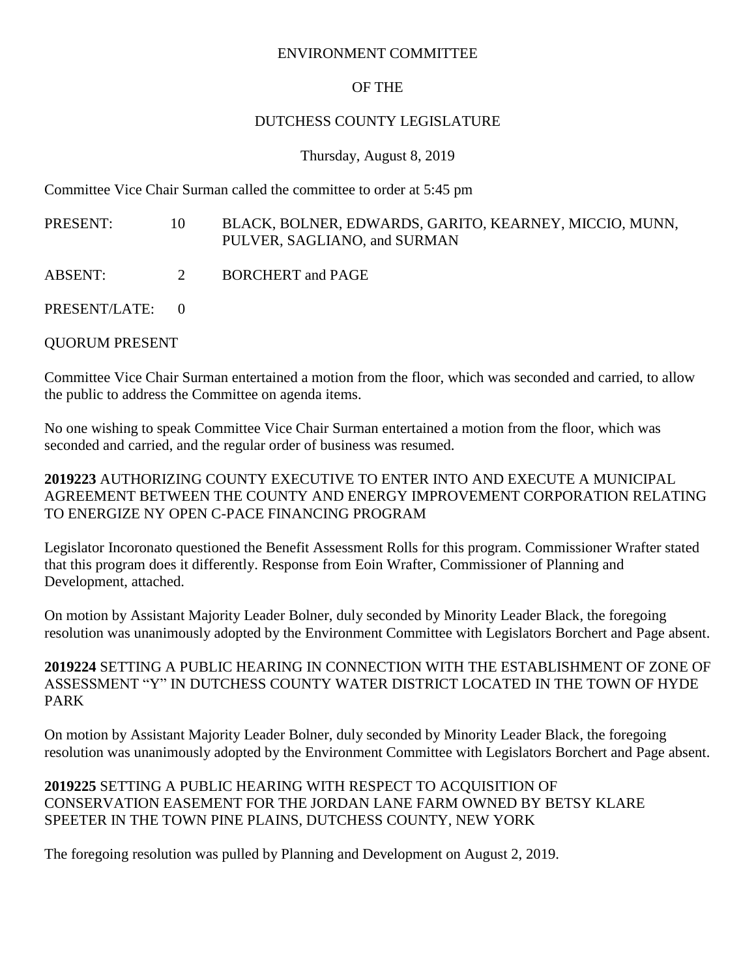#### ENVIRONMENT COMMITTEE

# OF THE

## DUTCHESS COUNTY LEGISLATURE

#### Thursday, August 8, 2019

Committee Vice Chair Surman called the committee to order at 5:45 pm

- PRESENT: 10 BLACK, BOLNER, EDWARDS, GARITO, KEARNEY, MICCIO, MUNN, PULVER, SAGLIANO, and SURMAN
- ABSENT: 2 BORCHERT and PAGE
- PRESENT/LATE: 0

# QUORUM PRESENT

Committee Vice Chair Surman entertained a motion from the floor, which was seconded and carried, to allow the public to address the Committee on agenda items.

No one wishing to speak Committee Vice Chair Surman entertained a motion from the floor, which was seconded and carried, and the regular order of business was resumed.

**2019223** AUTHORIZING COUNTY EXECUTIVE TO ENTER INTO AND EXECUTE A MUNICIPAL AGREEMENT BETWEEN THE COUNTY AND ENERGY IMPROVEMENT CORPORATION RELATING TO ENERGIZE NY OPEN C-PACE FINANCING PROGRAM

Legislator Incoronato questioned the Benefit Assessment Rolls for this program. Commissioner Wrafter stated that this program does it differently. Response from Eoin Wrafter, Commissioner of Planning and Development, attached.

On motion by Assistant Majority Leader Bolner, duly seconded by Minority Leader Black, the foregoing resolution was unanimously adopted by the Environment Committee with Legislators Borchert and Page absent.

# **2019224** SETTING A PUBLIC HEARING IN CONNECTION WITH THE ESTABLISHMENT OF ZONE OF ASSESSMENT "Y" IN DUTCHESS COUNTY WATER DISTRICT LOCATED IN THE TOWN OF HYDE PARK

On motion by Assistant Majority Leader Bolner, duly seconded by Minority Leader Black, the foregoing resolution was unanimously adopted by the Environment Committee with Legislators Borchert and Page absent.

## **2019225** SETTING A PUBLIC HEARING WITH RESPECT TO ACQUISITION OF CONSERVATION EASEMENT FOR THE JORDAN LANE FARM OWNED BY BETSY KLARE SPEETER IN THE TOWN PINE PLAINS, DUTCHESS COUNTY, NEW YORK

The foregoing resolution was pulled by Planning and Development on August 2, 2019.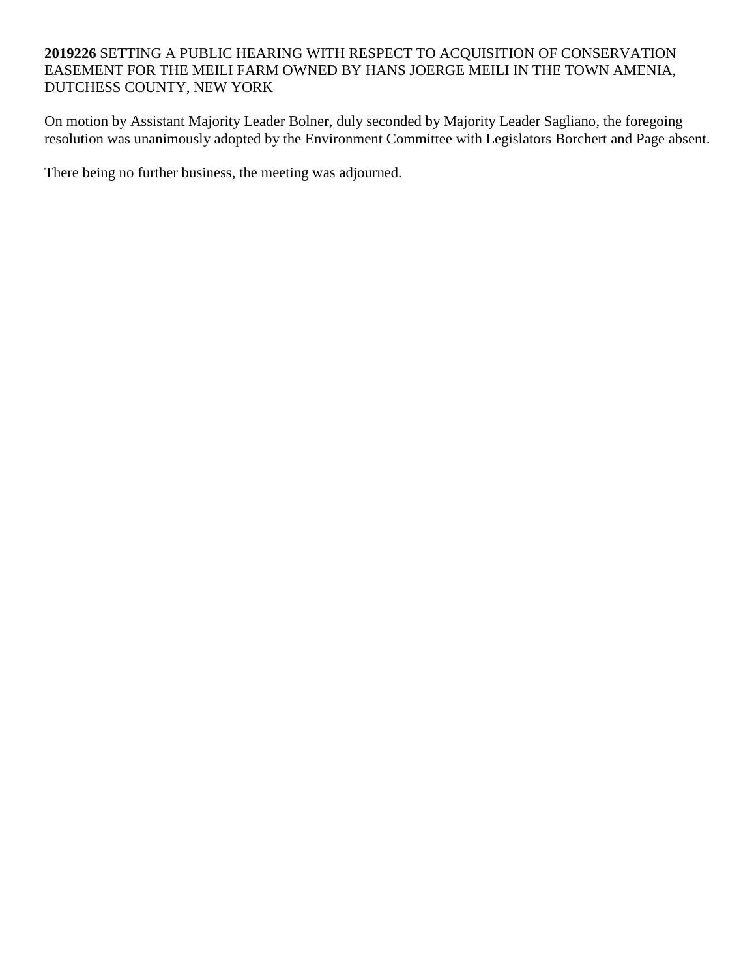## **2019226** SETTING A PUBLIC HEARING WITH RESPECT TO ACQUISITION OF CONSERVATION EASEMENT FOR THE MEILI FARM OWNED BY HANS JOERGE MEILI IN THE TOWN AMENIA, DUTCHESS COUNTY, NEW YORK

On motion by Assistant Majority Leader Bolner, duly seconded by Majority Leader Sagliano, the foregoing resolution was unanimously adopted by the Environment Committee with Legislators Borchert and Page absent.

There being no further business, the meeting was adjourned.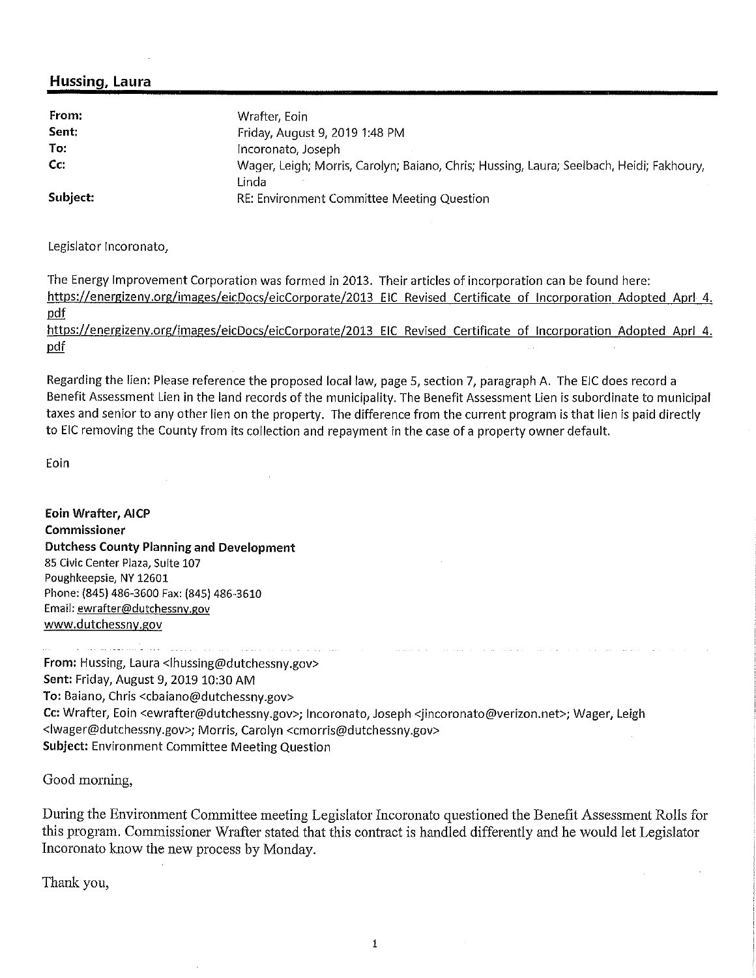#### **Hussing, Laura**

| From:         | Wrafter, Eoin                                                                            |
|---------------|------------------------------------------------------------------------------------------|
| Sent:         | Friday, August 9, 2019 1:48 PM                                                           |
| To:           | Incoronato, Joseph                                                                       |
| $\mathsf{Cc}$ | Wager, Leigh; Morris, Carolyn; Baiano, Chris; Hussing, Laura; Seelbach, Heidi; Fakhoury, |
|               | Linda                                                                                    |
| Subject:      | RE: Environment Committee Meeting Question                                               |

Legislator Incoronato,

The Energy Improvement Corporation was formed in 2013. Their articles of incorporation can be found here: https://energizeny.org/images/eicDocs/eicCorporate/2013 EIC Revised Certificate of Incorporation Adopted Aprl 4. pdf

https://energizeny.org/images/eicDocs/eicCorporate/2013 EIC Revised Certificate of Incorporation Adopted Apri 4. pdf

Regarding the lien: Please reference the proposed local law, page 5, section 7, paragraph A. The EIC does record a Benefit Assessment Lien in the land records of the municipality. The Benefit Assessment Lien is subordinate to municipal taxes and senior to any other lien on the property. The difference from the current program is that lien is paid directly to EIC removing the County from its collection and repayment in the case of a property owner default.

Eoin

**Eoin Wrafter, AICP Commissioner Dutchess County Planning and Development** 85 Civic Center Plaza, Suite 107 Poughkeepsie, NY 12601 Phone: (845) 486-3600 Fax: (845) 486-3610 Email: ewrafter@dutchessny.gov www.dutchessny.gov

لمطرد لمواجب والالتياني والمتعاون المنتقل وبالتواط والمستشر الحاوة كأدبت وكسور وسالتين From: Hussing, Laura <lhussing@dutchessny.gov> Sent: Friday, August 9, 2019 10:30 AM To: Baiano, Chris <cbaiano@dutchessny.gov> Cc: Wrafter, Eoin <ewrafter@dutchessny.gov>; Incoronato, Joseph <jincoronato@verizon.net>; Wager, Leigh <lwager@dutchessny.gov>; Morris, Carolyn <cmorris@dutchessny.gov> Subject: Environment Committee Meeting Question

Good morning,

During the Environment Committee meeting Legislator Incoronato questioned the Benefit Assessment Rolls for this program. Commissioner Wrafter stated that this contract is handled differently and he would let Legislator Incoronato know the new process by Monday.

Thank you,